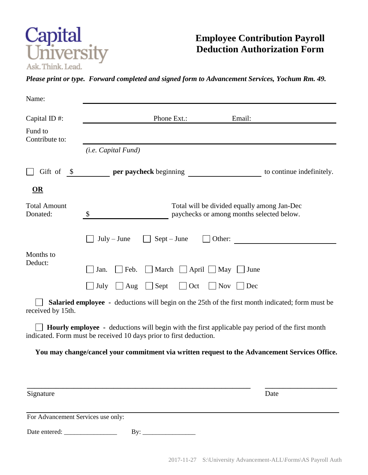

## **Employee Contribution Payroll Deduction Authorization Form**

*Please print or type. Forward completed and signed form to Advancement Services, Yochum Rm. 49.*

| Name:                              |                                                                                                                                                                       |        |                                                                                                         |
|------------------------------------|-----------------------------------------------------------------------------------------------------------------------------------------------------------------------|--------|---------------------------------------------------------------------------------------------------------|
| Capital ID $#$ :                   | Phone Ext.:                                                                                                                                                           |        | Email:                                                                                                  |
| Fund to<br>Contribute to:          |                                                                                                                                                                       |        |                                                                                                         |
|                                    | ( <i>i.e.</i> Capital Fund)                                                                                                                                           |        |                                                                                                         |
| Gift of<br>$\mathcal{S}$           | per paycheck beginning                                                                                                                                                |        | to continue indefinitely.                                                                               |
| $\overline{\text{OR}}$             |                                                                                                                                                                       |        |                                                                                                         |
| <b>Total Amount</b><br>Donated:    | Total will be divided equally among Jan-Dec<br>$\boldsymbol{\mathsf{S}}$<br>paychecks or among months selected below.                                                 |        |                                                                                                         |
|                                    | $\Box$ Sept – June<br>$July - June$                                                                                                                                   | Other: |                                                                                                         |
| Months to<br>Deduct:               | March $\Box$ April $\Box$ May $\Box$ June<br>Feb.<br>Jan.                                                                                                             |        |                                                                                                         |
|                                    | $\Box$ Oct<br>Nov<br>July<br>$\Box$ Aug<br>Sept<br>Dec                                                                                                                |        |                                                                                                         |
| received by 15th.                  |                                                                                                                                                                       |        | <b>Salaried employee -</b> deductions will begin on the 25th of the first month indicated; form must be |
|                                    | Hourly employee - deductions will begin with the first applicable pay period of the first month<br>indicated. Form must be received 10 days prior to first deduction. |        |                                                                                                         |
|                                    |                                                                                                                                                                       |        | You may change/cancel your commitment via written request to the Advancement Services Office.           |
|                                    |                                                                                                                                                                       |        |                                                                                                         |
| Signature                          |                                                                                                                                                                       |        | Date                                                                                                    |
| For Advancement Services use only: |                                                                                                                                                                       |        |                                                                                                         |
| Date entered: _                    | By:                                                                                                                                                                   |        |                                                                                                         |